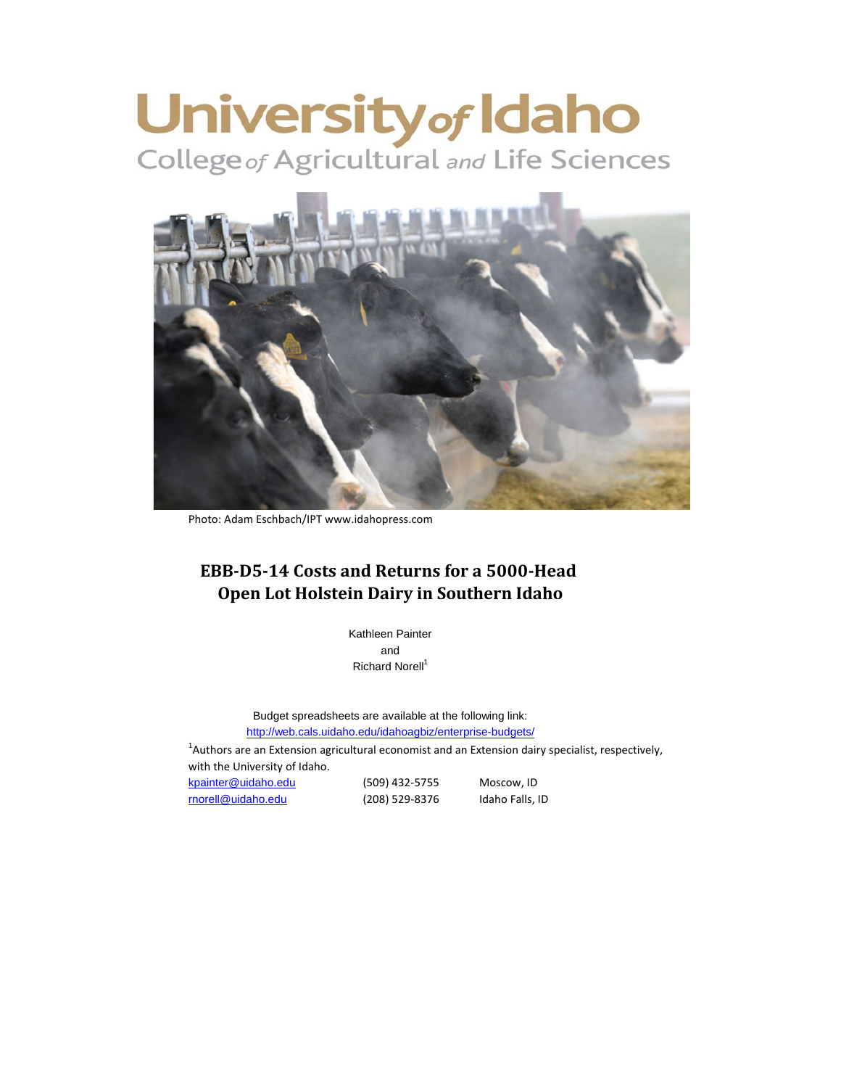# University of Idaho



Photo: Adam Eschbach/IPT www.idahopress.com

# **EBB-D5-14 Costs and Returns for a 5000-Head Open Lot Holstein Dairy in Southern Idaho**

Kathleen Painter and Richard Norell<sup>1</sup>

<http://web.cals.uidaho.edu/idahoagbiz/enterprise-budgets/> Budget spreadsheets are available at the following link:

 $^{1}$ Authors are an Extension agricultural economist and an Extension dairy specialist, respectively, with the University of Idaho. [kpainter@uidaho.edu](mailto:kpainter@uidaho.edu) (509) 432-5755 Moscow, ID

[rnorell@uidaho.edu](mailto:rnorell@uidaho.edu) (208) 529-8376 Idaho Falls, ID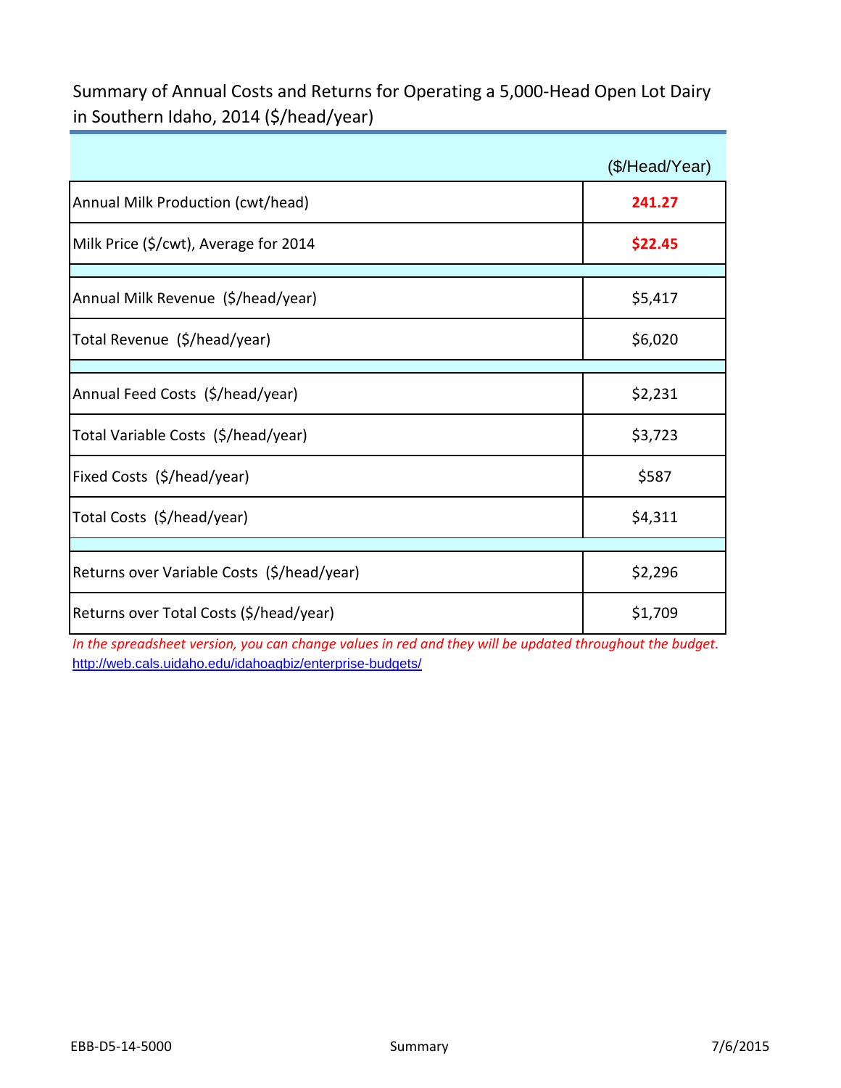Summary of Annual Costs and Returns for Operating a 5,000-Head Open Lot Dairy in Southern Idaho, 2014 (\$/head/year)

|                                            | (\$/Head/Year) |
|--------------------------------------------|----------------|
| Annual Milk Production (cwt/head)          | 241.27         |
| Milk Price (\$/cwt), Average for 2014      | \$22.45        |
| Annual Milk Revenue (\$/head/year)         | \$5,417        |
| Total Revenue (\$/head/year)               | \$6,020        |
| Annual Feed Costs (\$/head/year)           | \$2,231        |
| Total Variable Costs (\$/head/year)        | \$3,723        |
| Fixed Costs (\$/head/year)                 | \$587          |
| Total Costs (\$/head/year)                 | \$4,311        |
|                                            |                |
| Returns over Variable Costs (\$/head/year) | \$2,296        |
| Returns over Total Costs (\$/head/year)    | \$1,709        |

*In the spreadsheet version, you can change values in red and they will be updated throughout the budget.* http://web.cals.uidaho.edu/idahoagbiz/enterprise-budgets/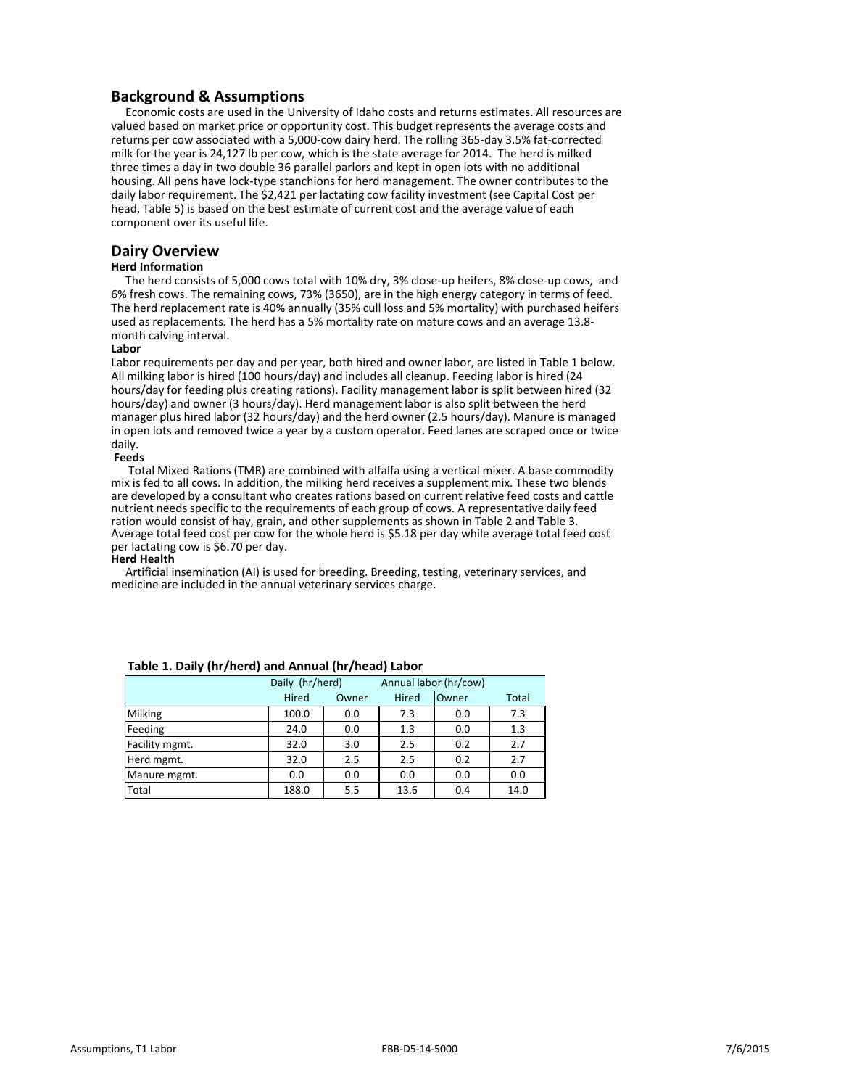## **Background & Assumptions**

Economic costs are used in the University of Idaho costs and returns estimates. All resources are valued based on market price or opportunity cost. This budget represents the average costs and returns per cow associated with a 5,000-cow dairy herd. The rolling 365-day 3.5% fat-corrected milk for the year is 24,127 lb per cow, which is the state average for 2014. The herd is milked three times a day in two double 36 parallel parlors and kept in open lots with no additional housing. All pens have lock-type stanchions for herd management. The owner contributes to the daily labor requirement. The \$2,421 per lactating cow facility investment (see Capital Cost per head, Table 5) is based on the best estimate of current cost and the average value of each component over its useful life.

## **Dairy Overview**

#### **Herd Information**

The herd consists of 5,000 cows total with 10% dry, 3% close-up heifers, 8% close-up cows, and 6% fresh cows. The remaining cows, 73% (3650), are in the high energy category in terms of feed. The herd replacement rate is 40% annually (35% cull loss and 5% mortality) with purchased heifers used as replacements. The herd has a 5% mortality rate on mature cows and an average 13.8 month calving interval.

#### **Labor**

Labor requirements per day and per year, both hired and owner labor, are listed in Table 1 below. All milking labor is hired (100 hours/day) and includes all cleanup. Feeding labor is hired (24 hours/day for feeding plus creating rations). Facility management labor is split between hired (32 hours/day) and owner (3 hours/day). Herd management labor is also split between the herd manager plus hired labor (32 hours/day) and the herd owner (2.5 hours/day). Manure is managed in open lots and removed twice a year by a custom operator. Feed lanes are scraped once or twice daily.

#### **Feeds**

Total Mixed Rations (TMR) are combined with alfalfa using a vertical mixer. A base commodity mix is fed to all cows. In addition, the milking herd receives a supplement mix. These two blends are developed by a consultant who creates rations based on current relative feed costs and cattle nutrient needs specific to the requirements of each group of cows. A representative daily feed ration would consist of hay, grain, and other supplements as shown in Table 2 and Table 3. Average total feed cost per cow for the whole herd is \$5.18 per day while average total feed cost per lactating cow is \$6.70 per day.

#### **Herd Health**

Artificial insemination (AI) is used for breeding. Breeding, testing, veterinary services, and medicine are included in the annual veterinary services charge.

|                | Daily (hr/herd) |       | Annual labor (hr/cow) |       |       |
|----------------|-----------------|-------|-----------------------|-------|-------|
|                | Hired           | Owner | Hired                 | Owner | Total |
| Milking        | 100.0           | 0.0   | 7.3                   | 0.0   | 7.3   |
| Feeding        | 24.0            | 0.0   | 1.3                   | 0.0   | 1.3   |
| Facility mgmt. | 32.0            | 3.0   | 2.5                   | 0.2   | 2.7   |
| Herd mgmt.     | 32.0            | 2.5   | 2.5                   | 0.2   | 2.7   |
| Manure mgmt.   | 0.0             | 0.0   | 0.0                   | 0.0   | 0.0   |
| Total          | 188.0           | 5.5   | 13.6                  | 0.4   | 14.0  |

#### **Table 1. Daily (hr/herd) and Annual (hr/head) Labor**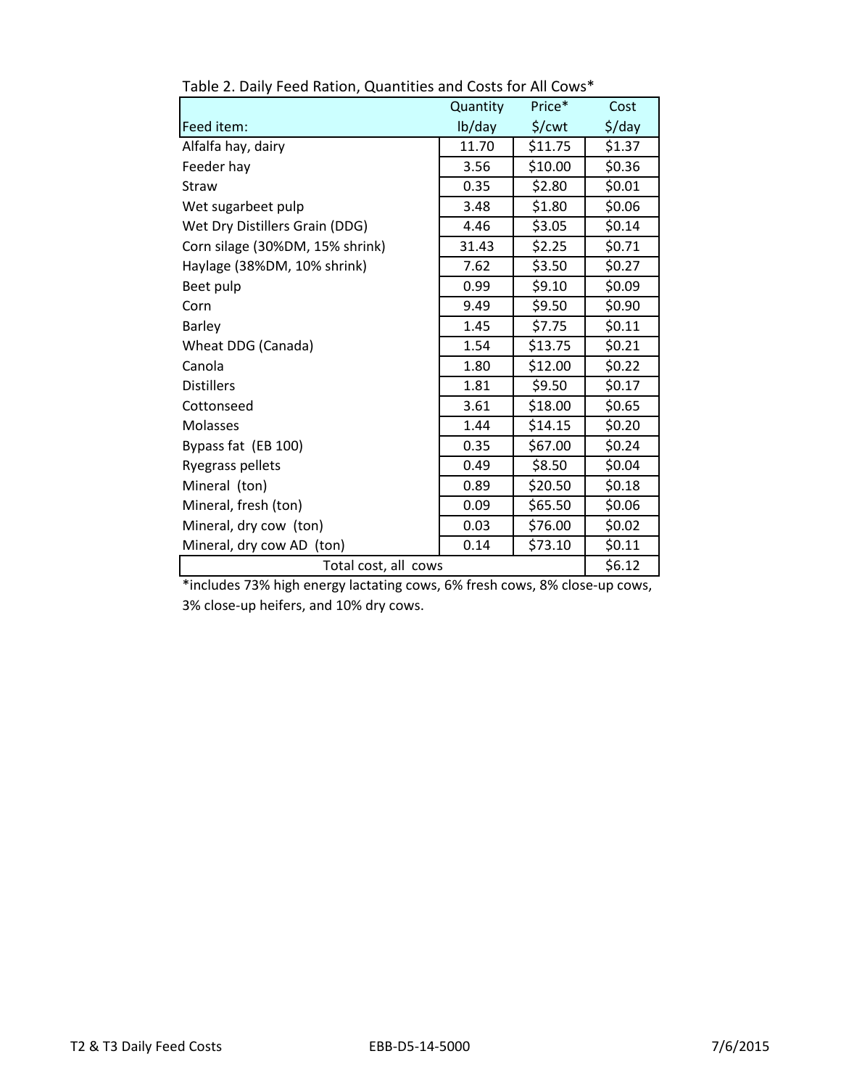|                                 | Quantity | Price*             | Cost               |
|---------------------------------|----------|--------------------|--------------------|
| Feed item:                      | lb/day   | $\frac{2}{3}$ /cwt | $\frac{1}{2}$ /day |
| Alfalfa hay, dairy              | 11.70    | \$11.75            | \$1.37             |
| Feeder hay                      | 3.56     | \$10.00            | \$0.36             |
| Straw                           | 0.35     | \$2.80             | \$0.01             |
| Wet sugarbeet pulp              | 3.48     | \$1.80             | \$0.06             |
| Wet Dry Distillers Grain (DDG)  | 4.46     | \$3.05             | \$0.14             |
| Corn silage (30%DM, 15% shrink) | 31.43    | \$2.25             | \$0.71             |
| Haylage (38%DM, 10% shrink)     | 7.62     | \$3.50             | \$0.27             |
| Beet pulp                       | 0.99     | \$9.10             | \$0.09             |
| Corn                            | 9.49     | \$9.50             | \$0.90             |
| Barley                          | 1.45     | \$7.75             | \$0.11             |
| Wheat DDG (Canada)              | 1.54     | \$13.75            | \$0.21             |
| Canola                          | 1.80     | \$12.00            | \$0.22             |
| <b>Distillers</b>               | 1.81     | \$9.50             | \$0.17             |
| Cottonseed                      | 3.61     | \$18.00            | \$0.65             |
| Molasses                        | 1.44     | \$14.15            | \$0.20             |
| Bypass fat (EB 100)             | 0.35     | \$67.00            | \$0.24             |
| Ryegrass pellets                | 0.49     | \$8.50             | \$0.04             |
| Mineral (ton)                   | 0.89     | \$20.50            | \$0.18             |
| Mineral, fresh (ton)            | 0.09     | \$65.50            | \$0.06             |
| Mineral, dry cow (ton)          | 0.03     | \$76.00            | \$0.02             |
| Mineral, dry cow AD (ton)       | 0.14     | \$73.10            | \$0.11             |
| Total cost, all cows            |          |                    | \$6.12             |

Table 2. Daily Feed Ration, Quantities and Costs for All Cows\*

\*includes 73% high energy lactating cows, 6% fresh cows, 8% close-up cows, 3% close-up heifers, and 10% dry cows.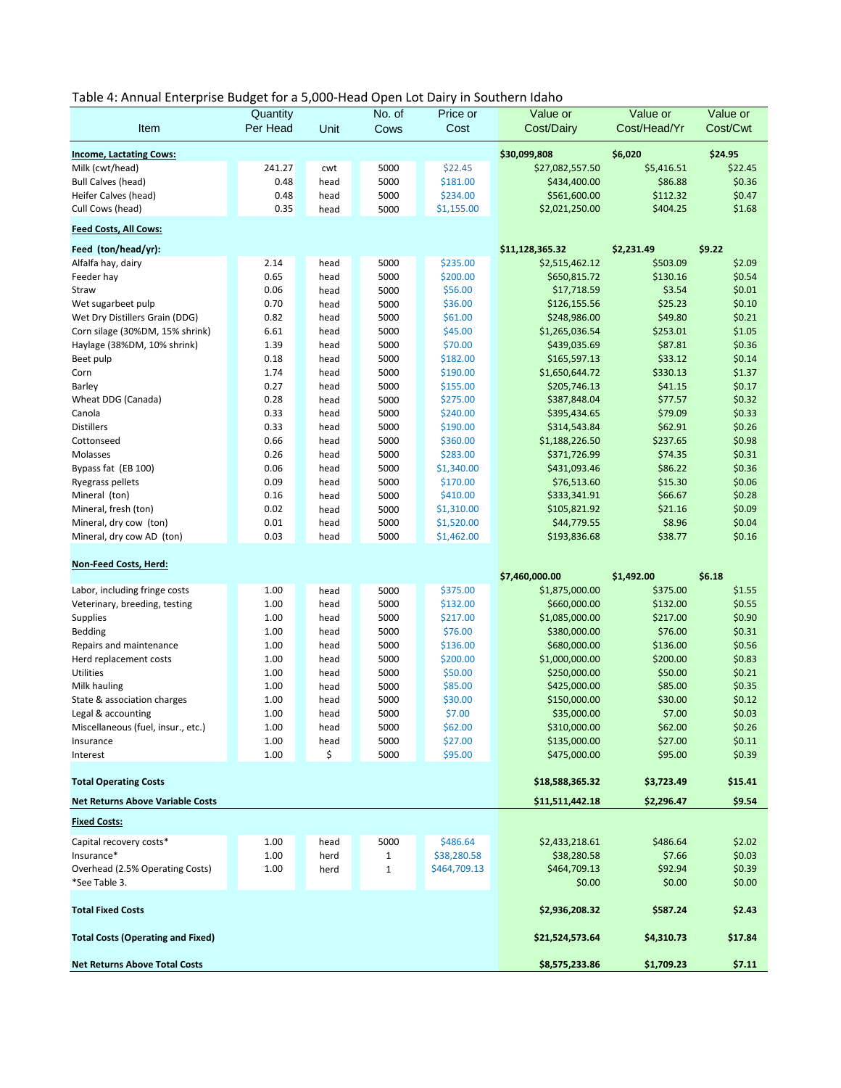| Table 4: Annual Enterprise Budget for a 5,000-Head Open Lot Dairy in Southern Idaho |  |
|-------------------------------------------------------------------------------------|--|
|-------------------------------------------------------------------------------------|--|

|                                            | Quantity     |              | No. of       | Price or            | Value or                         | Value or             | Value or |
|--------------------------------------------|--------------|--------------|--------------|---------------------|----------------------------------|----------------------|----------|
| Item                                       | Per Head     | Unit         | Cows         | Cost                | Cost/Dairy                       | Cost/Head/Yr         | Cost/Cwt |
|                                            |              |              |              |                     |                                  |                      |          |
| <b>Income, Lactating Cows:</b>             |              |              |              |                     | \$30,099,808                     | \$6,020              | \$24.95  |
| Milk (cwt/head)                            | 241.27       | cwt          | 5000         | \$22.45             | \$27,082,557.50                  | \$5,416.51           | \$22.45  |
| <b>Bull Calves (head)</b>                  | 0.48         | head         | 5000         | \$181.00            | \$434,400.00                     | \$86.88              | \$0.36   |
| Heifer Calves (head)                       | 0.48         | head         | 5000         | \$234.00            | \$561,600.00                     | \$112.32             | \$0.47   |
| Cull Cows (head)                           | 0.35         | head         | 5000         | \$1,155.00          | \$2,021,250.00                   | \$404.25             | \$1.68   |
| <b>Feed Costs, All Cows:</b>               |              |              |              |                     |                                  |                      |          |
| Feed (ton/head/yr):                        |              |              |              |                     | \$11,128,365.32                  | \$2,231.49           | \$9.22   |
| Alfalfa hay, dairy                         | 2.14         | head         | 5000         | \$235.00            | \$2,515,462.12                   | \$503.09             | \$2.09   |
| Feeder hay                                 | 0.65         | head         | 5000         | \$200.00            | \$650,815.72                     | \$130.16             | \$0.54   |
| Straw                                      | 0.06         | head         | 5000         | \$56.00             | \$17,718.59                      | \$3.54               | \$0.01   |
| Wet sugarbeet pulp                         | 0.70         | head         | 5000         | \$36.00             | \$126,155.56                     | \$25.23              | \$0.10   |
| Wet Dry Distillers Grain (DDG)             | 0.82         | head         | 5000         | \$61.00             | \$248,986.00                     | \$49.80              | \$0.21   |
| Corn silage (30%DM, 15% shrink)            | 6.61         | head         | 5000         | \$45.00             | \$1,265,036.54                   | \$253.01             | \$1.05   |
| Haylage (38%DM, 10% shrink)                | 1.39         | head         | 5000         | \$70.00             | \$439,035.69                     | \$87.81              | \$0.36   |
| Beet pulp                                  | 0.18         | head         | 5000         | \$182.00            | \$165,597.13                     | \$33.12              | \$0.14   |
| Corn                                       | 1.74         | head         | 5000         | \$190.00            | \$1,650,644.72                   | \$330.13             | \$1.37   |
| Barley                                     | 0.27         | head         | 5000         | \$155.00            | \$205,746.13                     | \$41.15              | \$0.17   |
| Wheat DDG (Canada)                         | 0.28         | head         | 5000         | \$275.00            | \$387,848.04                     | \$77.57              | \$0.32   |
| Canola                                     | 0.33         | head         | 5000         | \$240.00            | \$395,434.65                     | \$79.09              | \$0.33   |
| <b>Distillers</b>                          | 0.33         | head         | 5000         | \$190.00            | \$314,543.84                     | \$62.91              | \$0.26   |
| Cottonseed                                 | 0.66         | head         | 5000         | \$360.00            | \$1,188,226.50                   | \$237.65             | \$0.98   |
| Molasses                                   | 0.26         | head         | 5000         | \$283.00            | \$371,726.99                     | \$74.35              | \$0.31   |
| Bypass fat (EB 100)                        | 0.06         | head         | 5000         | \$1,340.00          | \$431,093.46                     | \$86.22              | \$0.36   |
| Ryegrass pellets                           | 0.09         | head         | 5000         | \$170.00            | \$76,513.60                      | \$15.30              | \$0.06   |
| Mineral (ton)                              | 0.16         | head         | 5000         | \$410.00            | \$333,341.91                     | \$66.67              | \$0.28   |
| Mineral, fresh (ton)                       | 0.02         | head         | 5000         | \$1,310.00          | \$105,821.92                     | \$21.16              | \$0.09   |
| Mineral, dry cow (ton)                     | 0.01         | head         | 5000         | \$1,520.00          | \$44,779.55                      | \$8.96               | \$0.04   |
| Mineral, dry cow AD (ton)                  | 0.03         | head         | 5000         | \$1,462.00          | \$193,836.68                     | \$38.77              | \$0.16   |
|                                            |              |              |              |                     |                                  |                      |          |
| Non-Feed Costs, Herd:                      |              |              |              |                     |                                  | \$1,492.00           | \$6.18   |
| Labor, including fringe costs              | 1.00         | head         | 5000         | \$375.00            | \$7,460,000.00<br>\$1,875,000.00 | \$375.00             | \$1.55   |
| Veterinary, breeding, testing              | 1.00         | head         | 5000         | \$132.00            | \$660,000.00                     | \$132.00             | \$0.55   |
|                                            |              |              |              |                     |                                  |                      | \$0.90   |
| <b>Supplies</b>                            | 1.00         | head         | 5000         | \$217.00            | \$1,085,000.00                   | \$217.00             | \$0.31   |
| <b>Bedding</b>                             | 1.00<br>1.00 | head         | 5000         | \$76.00<br>\$136.00 | \$380,000.00                     | \$76.00              | \$0.56   |
| Repairs and maintenance                    | 1.00         | head         | 5000<br>5000 | \$200.00            | \$680,000.00<br>\$1,000,000.00   | \$136.00<br>\$200.00 | \$0.83   |
| Herd replacement costs<br><b>Utilities</b> | 1.00         | head<br>head | 5000         | \$50.00             | \$250,000.00                     | \$50.00              | \$0.21   |
|                                            | 1.00         |              |              | \$85.00             | \$425,000.00                     | \$85.00              | \$0.35   |
| Milk hauling                               |              | head         | 5000         |                     |                                  |                      | \$0.12   |
| State & association charges                | 1.00         | head         | 5000         | \$30.00             | \$150,000.00                     | \$30.00              |          |
| Legal & accounting                         | 1.00         | head         | 5000         | \$7.00              | \$35,000.00                      | \$7.00               | \$0.03   |
| Miscellaneous (fuel, insur., etc.)         | 1.00         | head         | 5000         | \$62.00             | \$310,000.00                     | \$62.00              | \$0.26   |
| Insurance                                  | 1.00         | head         | 5000         | \$27.00             | \$135,000.00                     | \$27.00              | \$0.11   |
| Interest                                   | 1.00         | \$           | 5000         | \$95.00             | \$475,000.00                     | \$95.00              | \$0.39   |
| <b>Total Operating Costs</b>               |              |              |              |                     | \$18,588,365.32                  | \$3,723.49           | \$15.41  |
| <b>Net Returns Above Variable Costs</b>    |              |              |              |                     | \$11,511,442.18                  | \$2,296.47           | \$9.54   |
| <b>Fixed Costs:</b>                        |              |              |              |                     |                                  |                      |          |
|                                            |              |              |              |                     |                                  |                      |          |
| Capital recovery costs*                    | 1.00         | head         | 5000         | \$486.64            | \$2,433,218.61                   | \$486.64             | \$2.02   |
| Insurance*                                 | 1.00         | herd         | $\mathbf{1}$ | \$38,280.58         | \$38,280.58                      | \$7.66               | \$0.03   |
| Overhead (2.5% Operating Costs)            | 1.00         | herd         | $\mathbf 1$  | \$464,709.13        | \$464,709.13                     | \$92.94              | \$0.39   |
| *See Table 3.                              |              |              |              |                     | \$0.00                           | \$0.00               | \$0.00   |
| <b>Total Fixed Costs</b>                   |              |              |              |                     | \$2,936,208.32                   | \$587.24             | \$2.43   |
|                                            |              |              |              |                     |                                  |                      |          |
| <b>Total Costs (Operating and Fixed)</b>   |              |              |              |                     | \$21,524,573.64                  | \$4,310.73           | \$17.84  |
| <b>Net Returns Above Total Costs</b>       |              |              |              |                     | \$8,575,233.86                   | \$1,709.23           | \$7.11   |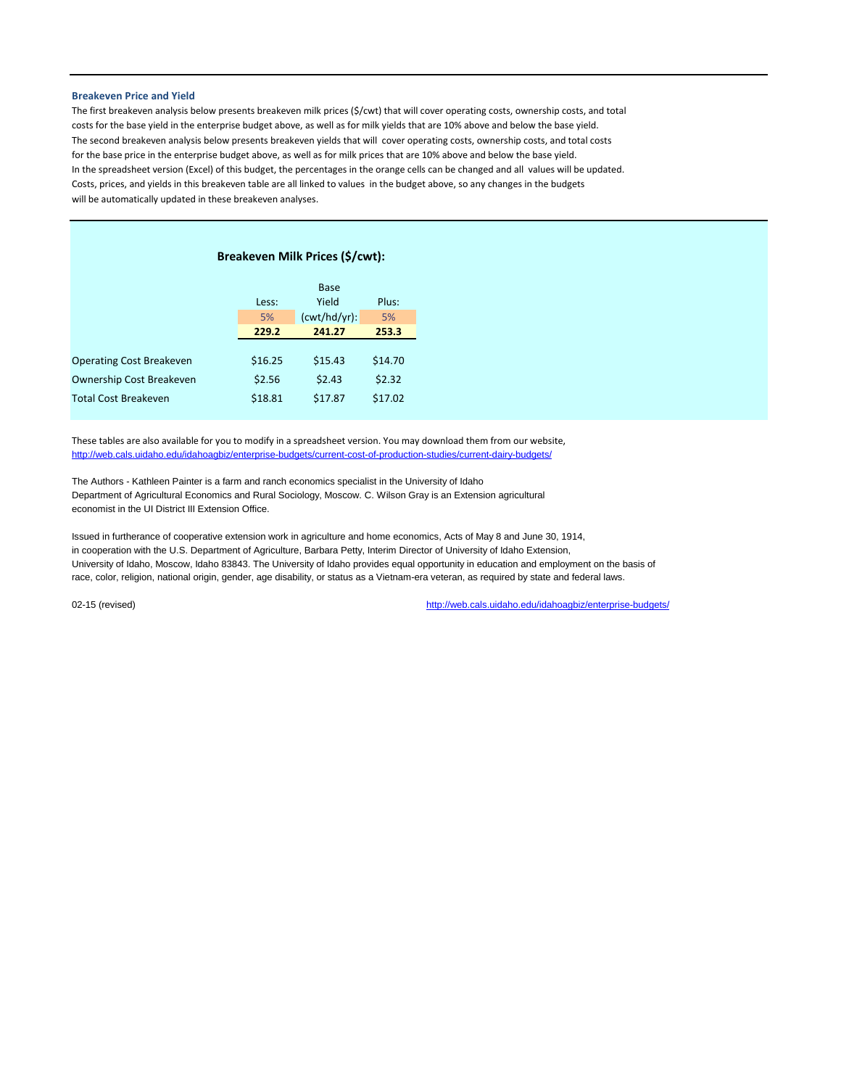#### **Breakeven Price and Yield**

The first breakeven analysis below presents breakeven milk prices (\$/cwt) that will cover operating costs, ownership costs, and total costs for the base yield in the enterprise budget above, as well as for milk yields that are 10% above and below the base yield. The second breakeven analysis below presents breakeven yields that will cover operating costs, ownership costs, and total costs for the base price in the enterprise budget above, as well as for milk prices that are 10% above and below the base yield. In the spreadsheet version (Excel) of this budget, the percentages in the orange cells can be changed and all values will be updated. Costs, prices, and yields in this breakeven table are all linked to values in the budget above, so any changes in the budgets will be automatically updated in these breakeven analyses.

|                                 | Breakeven Milk Prices (\$/cwt): |                 |         |  |  |  |  |  |  |
|---------------------------------|---------------------------------|-----------------|---------|--|--|--|--|--|--|
|                                 | Base                            |                 |         |  |  |  |  |  |  |
|                                 | Less:                           | Yield           | Plus:   |  |  |  |  |  |  |
|                                 | 5%                              | $(cwt/hd/yr)$ : | 5%      |  |  |  |  |  |  |
|                                 | 229.2                           | 241.27          | 253.3   |  |  |  |  |  |  |
|                                 |                                 |                 |         |  |  |  |  |  |  |
| <b>Operating Cost Breakeven</b> | \$16.25                         | \$15.43         | \$14.70 |  |  |  |  |  |  |
| Ownership Cost Breakeven        | \$2.56                          | \$2.43          | \$2.32  |  |  |  |  |  |  |
| <b>Total Cost Breakeven</b>     | \$18.81                         | \$17.87         | \$17.02 |  |  |  |  |  |  |

These tables are also available for you to modify in a spreadsheet version. You may download them from our website, http://web.cals.uidaho.edu/idahoagbiz/enterprise-budgets/current-cost-of-production-studies/current-dairy-budgets/

The Authors - Kathleen Painter is a farm and ranch economics specialist in the University of Idaho Department of Agricultural Economics and Rural Sociology, Moscow. C. Wilson Gray is an Extension agricultural economist in the UI District III Extension Office.

Issued in furtherance of cooperative extension work in agriculture and home economics, Acts of May 8 and June 30, 1914, in cooperation with the U.S. Department of Agriculture, Barbara Petty, Interim Director of University of Idaho Extension, University of Idaho, Moscow, Idaho 83843. The University of Idaho provides equal opportunity in education and employment on the basis of race, color, religion, national origin, gender, age disability, or status as a Vietnam-era veteran, as required by state and federal laws.

02-15 (revised) [http://web.cals.uidaho.edu/idahoagbiz/enterprise-budgets/](http://www.cals.uidaho.edu/aers/r_livestock.htm)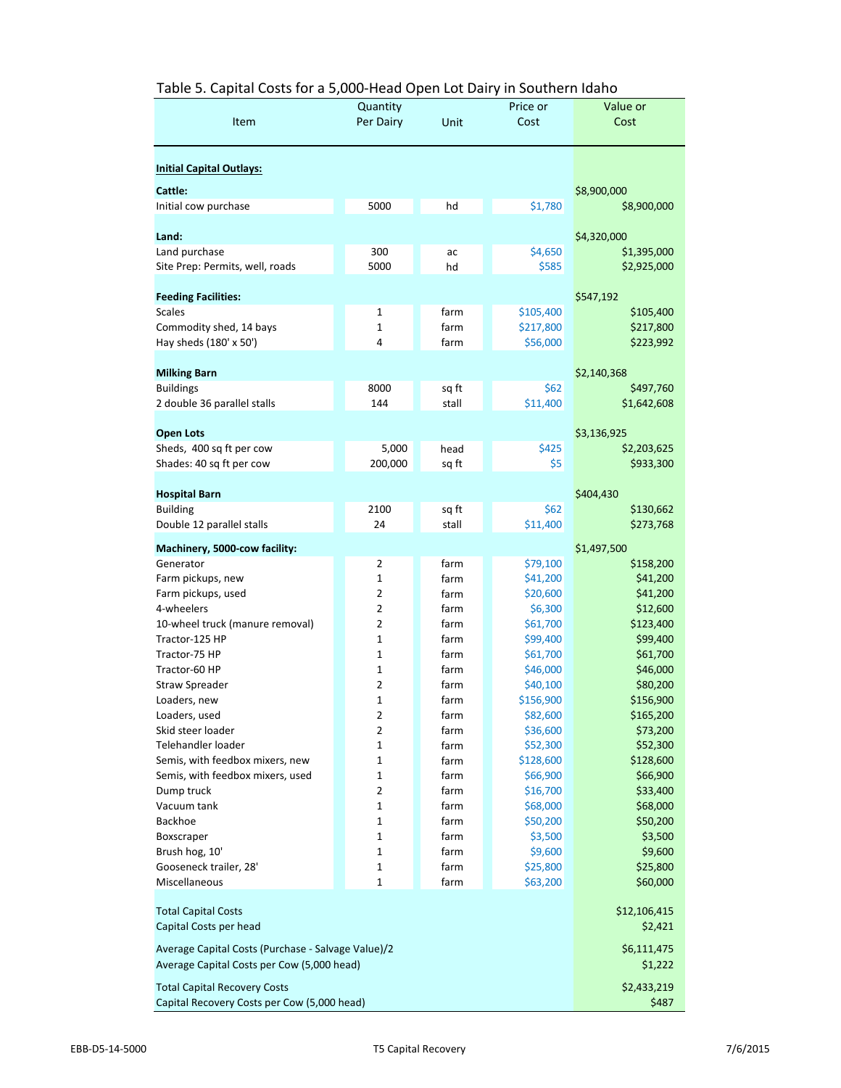| <b>Initial Capital Outlays:</b><br>Cattle:<br>\$8,900,000<br>Initial cow purchase<br>5000<br>hd<br>\$1,780<br>\$8,900,000<br>\$4,320,000<br>Land:<br>Land purchase<br>300<br>\$4,650<br>\$1,395,000<br>ac<br>\$585<br>Site Prep: Permits, well, roads<br>5000<br>\$2,925,000<br>hd<br><b>Feeding Facilities:</b><br>\$547,192<br><b>Scales</b><br>1<br>farm<br>\$105,400<br>\$105,400<br>Commodity shed, 14 bays<br>1<br>farm<br>\$217,800<br>\$217,800<br>\$56,000<br>Hay sheds (180' x 50')<br>4<br>farm<br>\$223,992<br><b>Milking Barn</b><br>\$2,140,368<br>8000<br>\$62<br><b>Buildings</b><br>sq ft<br>\$497,760<br>\$11,400<br>2 double 36 parallel stalls<br>144<br>\$1,642,608<br>stall<br><b>Open Lots</b><br>\$3,136,925<br>5,000<br>\$425<br>Sheds, 400 sq ft per cow<br>head<br>\$2,203,625<br>Shades: 40 sq ft per cow<br>200,000<br>\$5<br>\$933,300<br>sq ft<br><b>Hospital Barn</b><br>\$404,430<br>2100<br>\$62<br><b>Building</b><br>sq ft<br>\$130,662<br>24<br>\$11,400<br>Double 12 parallel stalls<br>stall<br>\$273,768<br>\$1,497,500<br>Machinery, 5000-cow facility:<br>2<br>farm<br>\$79,100<br>Generator<br>\$158,200<br>1<br>farm<br>\$41,200<br>\$41,200<br>Farm pickups, new<br>$\overline{2}$<br>Farm pickups, used<br>farm<br>\$20,600<br>\$41,200<br>$\overline{2}$<br>4-wheelers<br>farm<br>\$6,300<br>\$12,600<br>$\overline{2}$<br>10-wheel truck (manure removal)<br>\$61,700<br>\$123,400<br>farm<br>Tractor-125 HP<br>1<br>farm<br>\$99,400<br>\$99,400<br>\$61,700<br>1<br>\$61,700<br>Tractor-75 HP<br>farm<br>Tractor-60 HP<br>1<br>farm<br>\$46,000<br>\$46,000<br>2<br>\$40,100<br>\$80,200<br><b>Straw Spreader</b><br>farm<br>1<br>\$156,900<br>\$156,900<br>Loaders, new<br>farm<br>2<br>\$82,600<br>\$165,200<br>Loaders, used<br>farm<br>\$73,200<br>2<br>\$36,600<br>Skid steer loader<br>farm<br>\$52,300<br>\$52,300<br>Telehandler loader<br>1<br>farm<br>Semis, with feedbox mixers, new<br>\$128,600<br>1<br>farm<br>\$128,600<br>$\mathbf 1$<br>Semis, with feedbox mixers, used<br>farm<br>\$66,900<br>\$66,900<br>$\overline{2}$<br>Dump truck<br>\$16,700<br>\$33,400<br>farm<br>\$68,000<br>\$68,000<br>Vacuum tank<br>1<br>farm<br>Backhoe<br>1<br>\$50,200<br>\$50,200<br>farm<br>1<br>farm<br>\$3,500<br>\$3,500<br>Boxscraper<br>Brush hog, 10'<br>1<br>\$9,600<br>\$9,600<br>farm<br>Gooseneck trailer, 28'<br>1<br>farm<br>\$25,800<br>\$25,800<br>$\mathbf 1$<br>Miscellaneous<br>farm<br>\$63,200<br>\$60,000<br>\$12,106,415<br><b>Total Capital Costs</b><br>\$2,421<br>Capital Costs per head<br>Average Capital Costs (Purchase - Salvage Value)/2<br>\$6,111,475<br>Average Capital Costs per Cow (5,000 head)<br>\$1,222<br>\$2,433,219<br><b>Total Capital Recovery Costs</b><br>Capital Recovery Costs per Cow (5,000 head)<br>\$487 |      | Quantity  |      | Price or | Value or |  |
|---------------------------------------------------------------------------------------------------------------------------------------------------------------------------------------------------------------------------------------------------------------------------------------------------------------------------------------------------------------------------------------------------------------------------------------------------------------------------------------------------------------------------------------------------------------------------------------------------------------------------------------------------------------------------------------------------------------------------------------------------------------------------------------------------------------------------------------------------------------------------------------------------------------------------------------------------------------------------------------------------------------------------------------------------------------------------------------------------------------------------------------------------------------------------------------------------------------------------------------------------------------------------------------------------------------------------------------------------------------------------------------------------------------------------------------------------------------------------------------------------------------------------------------------------------------------------------------------------------------------------------------------------------------------------------------------------------------------------------------------------------------------------------------------------------------------------------------------------------------------------------------------------------------------------------------------------------------------------------------------------------------------------------------------------------------------------------------------------------------------------------------------------------------------------------------------------------------------------------------------------------------------------------------------------------------------------------------------------------------------------------------------------------------------------------------------------------------------------------------------------------------------------------------------------------------------------------------------------------------------------------------------------------------------------------------------------------------------------------------------------------------------------------------------------------------------|------|-----------|------|----------|----------|--|
|                                                                                                                                                                                                                                                                                                                                                                                                                                                                                                                                                                                                                                                                                                                                                                                                                                                                                                                                                                                                                                                                                                                                                                                                                                                                                                                                                                                                                                                                                                                                                                                                                                                                                                                                                                                                                                                                                                                                                                                                                                                                                                                                                                                                                                                                                                                                                                                                                                                                                                                                                                                                                                                                                                                                                                                                                     | Item | Per Dairy | Unit | Cost     | Cost     |  |
|                                                                                                                                                                                                                                                                                                                                                                                                                                                                                                                                                                                                                                                                                                                                                                                                                                                                                                                                                                                                                                                                                                                                                                                                                                                                                                                                                                                                                                                                                                                                                                                                                                                                                                                                                                                                                                                                                                                                                                                                                                                                                                                                                                                                                                                                                                                                                                                                                                                                                                                                                                                                                                                                                                                                                                                                                     |      |           |      |          |          |  |
|                                                                                                                                                                                                                                                                                                                                                                                                                                                                                                                                                                                                                                                                                                                                                                                                                                                                                                                                                                                                                                                                                                                                                                                                                                                                                                                                                                                                                                                                                                                                                                                                                                                                                                                                                                                                                                                                                                                                                                                                                                                                                                                                                                                                                                                                                                                                                                                                                                                                                                                                                                                                                                                                                                                                                                                                                     |      |           |      |          |          |  |
|                                                                                                                                                                                                                                                                                                                                                                                                                                                                                                                                                                                                                                                                                                                                                                                                                                                                                                                                                                                                                                                                                                                                                                                                                                                                                                                                                                                                                                                                                                                                                                                                                                                                                                                                                                                                                                                                                                                                                                                                                                                                                                                                                                                                                                                                                                                                                                                                                                                                                                                                                                                                                                                                                                                                                                                                                     |      |           |      |          |          |  |
|                                                                                                                                                                                                                                                                                                                                                                                                                                                                                                                                                                                                                                                                                                                                                                                                                                                                                                                                                                                                                                                                                                                                                                                                                                                                                                                                                                                                                                                                                                                                                                                                                                                                                                                                                                                                                                                                                                                                                                                                                                                                                                                                                                                                                                                                                                                                                                                                                                                                                                                                                                                                                                                                                                                                                                                                                     |      |           |      |          |          |  |
|                                                                                                                                                                                                                                                                                                                                                                                                                                                                                                                                                                                                                                                                                                                                                                                                                                                                                                                                                                                                                                                                                                                                                                                                                                                                                                                                                                                                                                                                                                                                                                                                                                                                                                                                                                                                                                                                                                                                                                                                                                                                                                                                                                                                                                                                                                                                                                                                                                                                                                                                                                                                                                                                                                                                                                                                                     |      |           |      |          |          |  |
|                                                                                                                                                                                                                                                                                                                                                                                                                                                                                                                                                                                                                                                                                                                                                                                                                                                                                                                                                                                                                                                                                                                                                                                                                                                                                                                                                                                                                                                                                                                                                                                                                                                                                                                                                                                                                                                                                                                                                                                                                                                                                                                                                                                                                                                                                                                                                                                                                                                                                                                                                                                                                                                                                                                                                                                                                     |      |           |      |          |          |  |
|                                                                                                                                                                                                                                                                                                                                                                                                                                                                                                                                                                                                                                                                                                                                                                                                                                                                                                                                                                                                                                                                                                                                                                                                                                                                                                                                                                                                                                                                                                                                                                                                                                                                                                                                                                                                                                                                                                                                                                                                                                                                                                                                                                                                                                                                                                                                                                                                                                                                                                                                                                                                                                                                                                                                                                                                                     |      |           |      |          |          |  |
|                                                                                                                                                                                                                                                                                                                                                                                                                                                                                                                                                                                                                                                                                                                                                                                                                                                                                                                                                                                                                                                                                                                                                                                                                                                                                                                                                                                                                                                                                                                                                                                                                                                                                                                                                                                                                                                                                                                                                                                                                                                                                                                                                                                                                                                                                                                                                                                                                                                                                                                                                                                                                                                                                                                                                                                                                     |      |           |      |          |          |  |
|                                                                                                                                                                                                                                                                                                                                                                                                                                                                                                                                                                                                                                                                                                                                                                                                                                                                                                                                                                                                                                                                                                                                                                                                                                                                                                                                                                                                                                                                                                                                                                                                                                                                                                                                                                                                                                                                                                                                                                                                                                                                                                                                                                                                                                                                                                                                                                                                                                                                                                                                                                                                                                                                                                                                                                                                                     |      |           |      |          |          |  |
|                                                                                                                                                                                                                                                                                                                                                                                                                                                                                                                                                                                                                                                                                                                                                                                                                                                                                                                                                                                                                                                                                                                                                                                                                                                                                                                                                                                                                                                                                                                                                                                                                                                                                                                                                                                                                                                                                                                                                                                                                                                                                                                                                                                                                                                                                                                                                                                                                                                                                                                                                                                                                                                                                                                                                                                                                     |      |           |      |          |          |  |
|                                                                                                                                                                                                                                                                                                                                                                                                                                                                                                                                                                                                                                                                                                                                                                                                                                                                                                                                                                                                                                                                                                                                                                                                                                                                                                                                                                                                                                                                                                                                                                                                                                                                                                                                                                                                                                                                                                                                                                                                                                                                                                                                                                                                                                                                                                                                                                                                                                                                                                                                                                                                                                                                                                                                                                                                                     |      |           |      |          |          |  |
|                                                                                                                                                                                                                                                                                                                                                                                                                                                                                                                                                                                                                                                                                                                                                                                                                                                                                                                                                                                                                                                                                                                                                                                                                                                                                                                                                                                                                                                                                                                                                                                                                                                                                                                                                                                                                                                                                                                                                                                                                                                                                                                                                                                                                                                                                                                                                                                                                                                                                                                                                                                                                                                                                                                                                                                                                     |      |           |      |          |          |  |
|                                                                                                                                                                                                                                                                                                                                                                                                                                                                                                                                                                                                                                                                                                                                                                                                                                                                                                                                                                                                                                                                                                                                                                                                                                                                                                                                                                                                                                                                                                                                                                                                                                                                                                                                                                                                                                                                                                                                                                                                                                                                                                                                                                                                                                                                                                                                                                                                                                                                                                                                                                                                                                                                                                                                                                                                                     |      |           |      |          |          |  |
|                                                                                                                                                                                                                                                                                                                                                                                                                                                                                                                                                                                                                                                                                                                                                                                                                                                                                                                                                                                                                                                                                                                                                                                                                                                                                                                                                                                                                                                                                                                                                                                                                                                                                                                                                                                                                                                                                                                                                                                                                                                                                                                                                                                                                                                                                                                                                                                                                                                                                                                                                                                                                                                                                                                                                                                                                     |      |           |      |          |          |  |
|                                                                                                                                                                                                                                                                                                                                                                                                                                                                                                                                                                                                                                                                                                                                                                                                                                                                                                                                                                                                                                                                                                                                                                                                                                                                                                                                                                                                                                                                                                                                                                                                                                                                                                                                                                                                                                                                                                                                                                                                                                                                                                                                                                                                                                                                                                                                                                                                                                                                                                                                                                                                                                                                                                                                                                                                                     |      |           |      |          |          |  |
|                                                                                                                                                                                                                                                                                                                                                                                                                                                                                                                                                                                                                                                                                                                                                                                                                                                                                                                                                                                                                                                                                                                                                                                                                                                                                                                                                                                                                                                                                                                                                                                                                                                                                                                                                                                                                                                                                                                                                                                                                                                                                                                                                                                                                                                                                                                                                                                                                                                                                                                                                                                                                                                                                                                                                                                                                     |      |           |      |          |          |  |
|                                                                                                                                                                                                                                                                                                                                                                                                                                                                                                                                                                                                                                                                                                                                                                                                                                                                                                                                                                                                                                                                                                                                                                                                                                                                                                                                                                                                                                                                                                                                                                                                                                                                                                                                                                                                                                                                                                                                                                                                                                                                                                                                                                                                                                                                                                                                                                                                                                                                                                                                                                                                                                                                                                                                                                                                                     |      |           |      |          |          |  |
|                                                                                                                                                                                                                                                                                                                                                                                                                                                                                                                                                                                                                                                                                                                                                                                                                                                                                                                                                                                                                                                                                                                                                                                                                                                                                                                                                                                                                                                                                                                                                                                                                                                                                                                                                                                                                                                                                                                                                                                                                                                                                                                                                                                                                                                                                                                                                                                                                                                                                                                                                                                                                                                                                                                                                                                                                     |      |           |      |          |          |  |
|                                                                                                                                                                                                                                                                                                                                                                                                                                                                                                                                                                                                                                                                                                                                                                                                                                                                                                                                                                                                                                                                                                                                                                                                                                                                                                                                                                                                                                                                                                                                                                                                                                                                                                                                                                                                                                                                                                                                                                                                                                                                                                                                                                                                                                                                                                                                                                                                                                                                                                                                                                                                                                                                                                                                                                                                                     |      |           |      |          |          |  |
|                                                                                                                                                                                                                                                                                                                                                                                                                                                                                                                                                                                                                                                                                                                                                                                                                                                                                                                                                                                                                                                                                                                                                                                                                                                                                                                                                                                                                                                                                                                                                                                                                                                                                                                                                                                                                                                                                                                                                                                                                                                                                                                                                                                                                                                                                                                                                                                                                                                                                                                                                                                                                                                                                                                                                                                                                     |      |           |      |          |          |  |
|                                                                                                                                                                                                                                                                                                                                                                                                                                                                                                                                                                                                                                                                                                                                                                                                                                                                                                                                                                                                                                                                                                                                                                                                                                                                                                                                                                                                                                                                                                                                                                                                                                                                                                                                                                                                                                                                                                                                                                                                                                                                                                                                                                                                                                                                                                                                                                                                                                                                                                                                                                                                                                                                                                                                                                                                                     |      |           |      |          |          |  |
|                                                                                                                                                                                                                                                                                                                                                                                                                                                                                                                                                                                                                                                                                                                                                                                                                                                                                                                                                                                                                                                                                                                                                                                                                                                                                                                                                                                                                                                                                                                                                                                                                                                                                                                                                                                                                                                                                                                                                                                                                                                                                                                                                                                                                                                                                                                                                                                                                                                                                                                                                                                                                                                                                                                                                                                                                     |      |           |      |          |          |  |
|                                                                                                                                                                                                                                                                                                                                                                                                                                                                                                                                                                                                                                                                                                                                                                                                                                                                                                                                                                                                                                                                                                                                                                                                                                                                                                                                                                                                                                                                                                                                                                                                                                                                                                                                                                                                                                                                                                                                                                                                                                                                                                                                                                                                                                                                                                                                                                                                                                                                                                                                                                                                                                                                                                                                                                                                                     |      |           |      |          |          |  |
|                                                                                                                                                                                                                                                                                                                                                                                                                                                                                                                                                                                                                                                                                                                                                                                                                                                                                                                                                                                                                                                                                                                                                                                                                                                                                                                                                                                                                                                                                                                                                                                                                                                                                                                                                                                                                                                                                                                                                                                                                                                                                                                                                                                                                                                                                                                                                                                                                                                                                                                                                                                                                                                                                                                                                                                                                     |      |           |      |          |          |  |
|                                                                                                                                                                                                                                                                                                                                                                                                                                                                                                                                                                                                                                                                                                                                                                                                                                                                                                                                                                                                                                                                                                                                                                                                                                                                                                                                                                                                                                                                                                                                                                                                                                                                                                                                                                                                                                                                                                                                                                                                                                                                                                                                                                                                                                                                                                                                                                                                                                                                                                                                                                                                                                                                                                                                                                                                                     |      |           |      |          |          |  |
|                                                                                                                                                                                                                                                                                                                                                                                                                                                                                                                                                                                                                                                                                                                                                                                                                                                                                                                                                                                                                                                                                                                                                                                                                                                                                                                                                                                                                                                                                                                                                                                                                                                                                                                                                                                                                                                                                                                                                                                                                                                                                                                                                                                                                                                                                                                                                                                                                                                                                                                                                                                                                                                                                                                                                                                                                     |      |           |      |          |          |  |
|                                                                                                                                                                                                                                                                                                                                                                                                                                                                                                                                                                                                                                                                                                                                                                                                                                                                                                                                                                                                                                                                                                                                                                                                                                                                                                                                                                                                                                                                                                                                                                                                                                                                                                                                                                                                                                                                                                                                                                                                                                                                                                                                                                                                                                                                                                                                                                                                                                                                                                                                                                                                                                                                                                                                                                                                                     |      |           |      |          |          |  |
|                                                                                                                                                                                                                                                                                                                                                                                                                                                                                                                                                                                                                                                                                                                                                                                                                                                                                                                                                                                                                                                                                                                                                                                                                                                                                                                                                                                                                                                                                                                                                                                                                                                                                                                                                                                                                                                                                                                                                                                                                                                                                                                                                                                                                                                                                                                                                                                                                                                                                                                                                                                                                                                                                                                                                                                                                     |      |           |      |          |          |  |
|                                                                                                                                                                                                                                                                                                                                                                                                                                                                                                                                                                                                                                                                                                                                                                                                                                                                                                                                                                                                                                                                                                                                                                                                                                                                                                                                                                                                                                                                                                                                                                                                                                                                                                                                                                                                                                                                                                                                                                                                                                                                                                                                                                                                                                                                                                                                                                                                                                                                                                                                                                                                                                                                                                                                                                                                                     |      |           |      |          |          |  |
|                                                                                                                                                                                                                                                                                                                                                                                                                                                                                                                                                                                                                                                                                                                                                                                                                                                                                                                                                                                                                                                                                                                                                                                                                                                                                                                                                                                                                                                                                                                                                                                                                                                                                                                                                                                                                                                                                                                                                                                                                                                                                                                                                                                                                                                                                                                                                                                                                                                                                                                                                                                                                                                                                                                                                                                                                     |      |           |      |          |          |  |
|                                                                                                                                                                                                                                                                                                                                                                                                                                                                                                                                                                                                                                                                                                                                                                                                                                                                                                                                                                                                                                                                                                                                                                                                                                                                                                                                                                                                                                                                                                                                                                                                                                                                                                                                                                                                                                                                                                                                                                                                                                                                                                                                                                                                                                                                                                                                                                                                                                                                                                                                                                                                                                                                                                                                                                                                                     |      |           |      |          |          |  |
|                                                                                                                                                                                                                                                                                                                                                                                                                                                                                                                                                                                                                                                                                                                                                                                                                                                                                                                                                                                                                                                                                                                                                                                                                                                                                                                                                                                                                                                                                                                                                                                                                                                                                                                                                                                                                                                                                                                                                                                                                                                                                                                                                                                                                                                                                                                                                                                                                                                                                                                                                                                                                                                                                                                                                                                                                     |      |           |      |          |          |  |
|                                                                                                                                                                                                                                                                                                                                                                                                                                                                                                                                                                                                                                                                                                                                                                                                                                                                                                                                                                                                                                                                                                                                                                                                                                                                                                                                                                                                                                                                                                                                                                                                                                                                                                                                                                                                                                                                                                                                                                                                                                                                                                                                                                                                                                                                                                                                                                                                                                                                                                                                                                                                                                                                                                                                                                                                                     |      |           |      |          |          |  |
|                                                                                                                                                                                                                                                                                                                                                                                                                                                                                                                                                                                                                                                                                                                                                                                                                                                                                                                                                                                                                                                                                                                                                                                                                                                                                                                                                                                                                                                                                                                                                                                                                                                                                                                                                                                                                                                                                                                                                                                                                                                                                                                                                                                                                                                                                                                                                                                                                                                                                                                                                                                                                                                                                                                                                                                                                     |      |           |      |          |          |  |
|                                                                                                                                                                                                                                                                                                                                                                                                                                                                                                                                                                                                                                                                                                                                                                                                                                                                                                                                                                                                                                                                                                                                                                                                                                                                                                                                                                                                                                                                                                                                                                                                                                                                                                                                                                                                                                                                                                                                                                                                                                                                                                                                                                                                                                                                                                                                                                                                                                                                                                                                                                                                                                                                                                                                                                                                                     |      |           |      |          |          |  |
|                                                                                                                                                                                                                                                                                                                                                                                                                                                                                                                                                                                                                                                                                                                                                                                                                                                                                                                                                                                                                                                                                                                                                                                                                                                                                                                                                                                                                                                                                                                                                                                                                                                                                                                                                                                                                                                                                                                                                                                                                                                                                                                                                                                                                                                                                                                                                                                                                                                                                                                                                                                                                                                                                                                                                                                                                     |      |           |      |          |          |  |
|                                                                                                                                                                                                                                                                                                                                                                                                                                                                                                                                                                                                                                                                                                                                                                                                                                                                                                                                                                                                                                                                                                                                                                                                                                                                                                                                                                                                                                                                                                                                                                                                                                                                                                                                                                                                                                                                                                                                                                                                                                                                                                                                                                                                                                                                                                                                                                                                                                                                                                                                                                                                                                                                                                                                                                                                                     |      |           |      |          |          |  |
|                                                                                                                                                                                                                                                                                                                                                                                                                                                                                                                                                                                                                                                                                                                                                                                                                                                                                                                                                                                                                                                                                                                                                                                                                                                                                                                                                                                                                                                                                                                                                                                                                                                                                                                                                                                                                                                                                                                                                                                                                                                                                                                                                                                                                                                                                                                                                                                                                                                                                                                                                                                                                                                                                                                                                                                                                     |      |           |      |          |          |  |
|                                                                                                                                                                                                                                                                                                                                                                                                                                                                                                                                                                                                                                                                                                                                                                                                                                                                                                                                                                                                                                                                                                                                                                                                                                                                                                                                                                                                                                                                                                                                                                                                                                                                                                                                                                                                                                                                                                                                                                                                                                                                                                                                                                                                                                                                                                                                                                                                                                                                                                                                                                                                                                                                                                                                                                                                                     |      |           |      |          |          |  |
|                                                                                                                                                                                                                                                                                                                                                                                                                                                                                                                                                                                                                                                                                                                                                                                                                                                                                                                                                                                                                                                                                                                                                                                                                                                                                                                                                                                                                                                                                                                                                                                                                                                                                                                                                                                                                                                                                                                                                                                                                                                                                                                                                                                                                                                                                                                                                                                                                                                                                                                                                                                                                                                                                                                                                                                                                     |      |           |      |          |          |  |
|                                                                                                                                                                                                                                                                                                                                                                                                                                                                                                                                                                                                                                                                                                                                                                                                                                                                                                                                                                                                                                                                                                                                                                                                                                                                                                                                                                                                                                                                                                                                                                                                                                                                                                                                                                                                                                                                                                                                                                                                                                                                                                                                                                                                                                                                                                                                                                                                                                                                                                                                                                                                                                                                                                                                                                                                                     |      |           |      |          |          |  |
|                                                                                                                                                                                                                                                                                                                                                                                                                                                                                                                                                                                                                                                                                                                                                                                                                                                                                                                                                                                                                                                                                                                                                                                                                                                                                                                                                                                                                                                                                                                                                                                                                                                                                                                                                                                                                                                                                                                                                                                                                                                                                                                                                                                                                                                                                                                                                                                                                                                                                                                                                                                                                                                                                                                                                                                                                     |      |           |      |          |          |  |
|                                                                                                                                                                                                                                                                                                                                                                                                                                                                                                                                                                                                                                                                                                                                                                                                                                                                                                                                                                                                                                                                                                                                                                                                                                                                                                                                                                                                                                                                                                                                                                                                                                                                                                                                                                                                                                                                                                                                                                                                                                                                                                                                                                                                                                                                                                                                                                                                                                                                                                                                                                                                                                                                                                                                                                                                                     |      |           |      |          |          |  |
|                                                                                                                                                                                                                                                                                                                                                                                                                                                                                                                                                                                                                                                                                                                                                                                                                                                                                                                                                                                                                                                                                                                                                                                                                                                                                                                                                                                                                                                                                                                                                                                                                                                                                                                                                                                                                                                                                                                                                                                                                                                                                                                                                                                                                                                                                                                                                                                                                                                                                                                                                                                                                                                                                                                                                                                                                     |      |           |      |          |          |  |
|                                                                                                                                                                                                                                                                                                                                                                                                                                                                                                                                                                                                                                                                                                                                                                                                                                                                                                                                                                                                                                                                                                                                                                                                                                                                                                                                                                                                                                                                                                                                                                                                                                                                                                                                                                                                                                                                                                                                                                                                                                                                                                                                                                                                                                                                                                                                                                                                                                                                                                                                                                                                                                                                                                                                                                                                                     |      |           |      |          |          |  |
|                                                                                                                                                                                                                                                                                                                                                                                                                                                                                                                                                                                                                                                                                                                                                                                                                                                                                                                                                                                                                                                                                                                                                                                                                                                                                                                                                                                                                                                                                                                                                                                                                                                                                                                                                                                                                                                                                                                                                                                                                                                                                                                                                                                                                                                                                                                                                                                                                                                                                                                                                                                                                                                                                                                                                                                                                     |      |           |      |          |          |  |

# Table 5. Capital Costs for a 5,000-Head Open Lot Dairy in Southern Idaho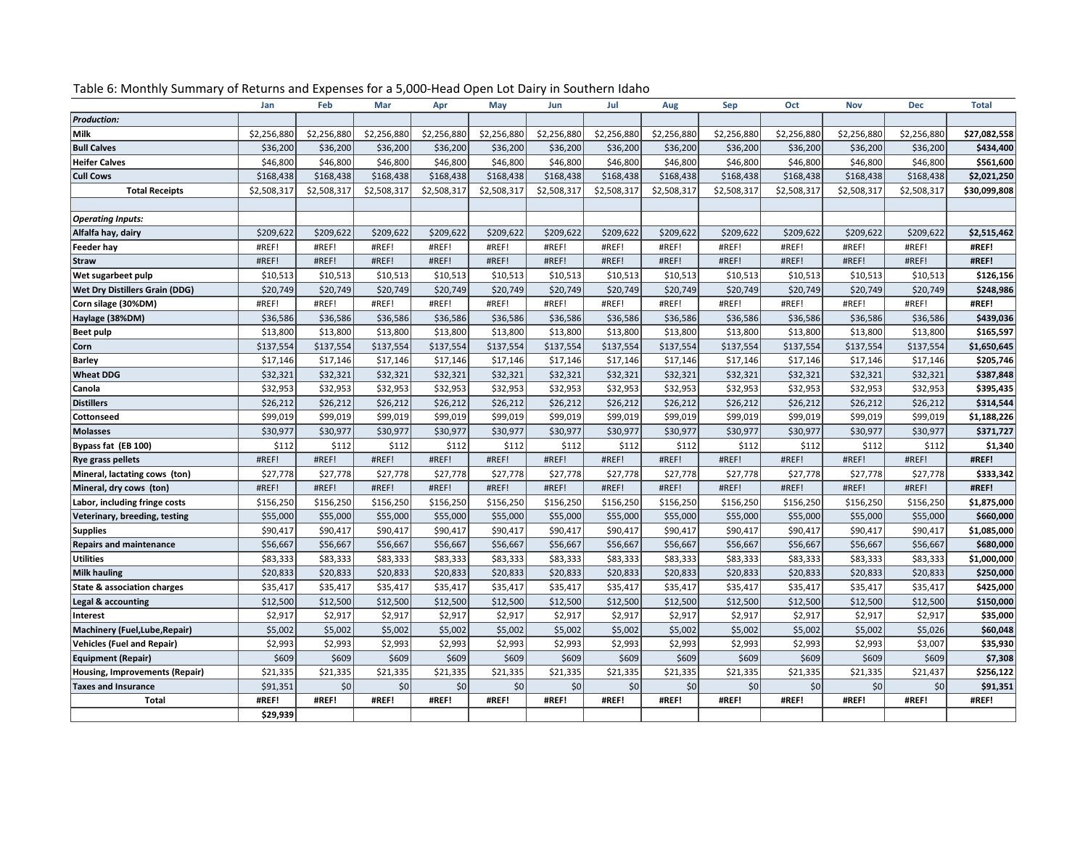|                                        | Jan         | Feb         | Mar         | Apr         | May         | Jun         | Jul         | Aug         | Sep         | Oct         | <b>Nov</b>  | <b>Dec</b>  | <b>Total</b> |
|----------------------------------------|-------------|-------------|-------------|-------------|-------------|-------------|-------------|-------------|-------------|-------------|-------------|-------------|--------------|
| <b>Production:</b>                     |             |             |             |             |             |             |             |             |             |             |             |             |              |
| Milk                                   | \$2,256,880 | \$2,256,880 | \$2,256,880 | \$2,256,880 | \$2,256,880 | \$2,256,880 | \$2,256,880 | \$2,256,880 | \$2,256,880 | \$2,256,880 | \$2,256,880 | \$2,256,880 | \$27,082,558 |
| <b>Bull Calves</b>                     | \$36,200    | \$36,200    | \$36,200    | \$36,200    | \$36,200    | \$36,200    | \$36,200    | \$36,200    | \$36,200    | \$36,200    | \$36,200    | \$36,200    | \$434,400    |
| <b>Heifer Calves</b>                   | \$46,800    | \$46,800    | \$46,800    | \$46,800    | \$46,800    | \$46,800    | \$46,800    | \$46,800    | \$46,800    | \$46,800    | \$46,800    | \$46,800    | \$561,600    |
| <b>Cull Cows</b>                       | \$168,438   | \$168,438   | \$168,438   | \$168,438   | \$168,438   | \$168,438   | \$168,438   | \$168,438   | \$168,438   | \$168,438   | \$168,438   | \$168,438   | \$2,021,250  |
| <b>Total Receipts</b>                  | \$2,508,317 | \$2,508,317 | \$2,508,317 | \$2,508,317 | \$2,508,317 | \$2,508,317 | \$2,508,317 | \$2,508,317 | \$2,508,317 | \$2,508,317 | \$2,508,317 | \$2,508,317 | \$30,099,808 |
|                                        |             |             |             |             |             |             |             |             |             |             |             |             |              |
| <b>Operating Inputs:</b>               |             |             |             |             |             |             |             |             |             |             |             |             |              |
| Alfalfa hay, dairy                     | \$209,622   | \$209,622   | \$209,622   | \$209,622   | \$209,622   | \$209,622   | \$209,622   | \$209,622   | \$209,622   | \$209,622   | \$209,622   | \$209,622   | \$2,515,462  |
| Feeder hay                             | #REF!       | #REF!       | #REF!       | #REF!       | #REF!       | #REF!       | #REF!       | #REF!       | #REF!       | #REF!       | #REF!       | #REF!       | #REF!        |
| Straw                                  | #REF!       | #REF!       | #REF!       | #REF!       | #REF!       | #REF!       | #REF!       | #REF!       | #REF!       | #REF!       | #REF!       | #REF!       | #REF!        |
| Wet sugarbeet pulp                     | \$10,513    | \$10,513    | \$10,513    | \$10,513    | \$10,513    | \$10,513    | \$10,513    | \$10,513    | \$10,513    | \$10,513    | \$10,513    | \$10,513    | \$126,156    |
| <b>Wet Dry Distillers Grain (DDG)</b>  | \$20,749    | \$20,749    | \$20,749    | \$20,749    | \$20,749    | \$20,749    | \$20,749    | \$20,749    | \$20,749    | \$20,749    | \$20,749    | \$20,749    | \$248,986    |
| Corn silage (30%DM)                    | #REF!       | #REF!       | #REF!       | #REF!       | #REF!       | #REF!       | #REF!       | #REF!       | #REF!       | #REF!       | #REF!       | #REF!       | #REF!        |
| Haylage (38%DM)                        | \$36,586    | \$36,586    | \$36,586    | \$36,586    | \$36,586    | \$36,586    | \$36,586    | \$36,586    | \$36,586    | \$36,586    | \$36,586    | \$36,586    | \$439,036    |
| <b>Beet pulp</b>                       | \$13,800    | \$13,800    | \$13,800    | \$13,800    | \$13,800    | \$13,800    | \$13,800    | \$13,800    | \$13,800    | \$13,800    | \$13,800    | \$13,800    | \$165,597    |
| Corn                                   | \$137,554   | \$137,554   | \$137,554   | \$137,554   | \$137,554   | \$137,554   | \$137,554   | \$137,554   | \$137,554   | \$137,554   | \$137,554   | \$137,554   | \$1,650,645  |
| Barley                                 | \$17,146    | \$17,146    | \$17,146    | \$17,146    | \$17,146    | \$17,146    | \$17,146    | \$17,146    | \$17,146    | \$17,146    | \$17,146    | \$17,146    | \$205,746    |
| <b>Wheat DDG</b>                       | \$32,321    | \$32,321    | \$32,321    | \$32,321    | \$32,321    | \$32,321    | \$32,321    | \$32,321    | \$32,321    | \$32,321    | \$32,321    | \$32,321    | \$387,848    |
| <b>Canola</b>                          | \$32,953    | \$32,953    | \$32,953    | \$32,953    | \$32,953    | \$32,953    | \$32,953    | \$32,953    | \$32,953    | \$32,953    | \$32,953    | \$32,953    | \$395,435    |
| <b>Distillers</b>                      | \$26,212    | \$26,212    | \$26,212    | \$26,212    | \$26,212    | \$26,212    | \$26,212    | \$26,212    | \$26,212    | \$26,212    | \$26,212    | \$26,212    | \$314,544    |
| <b>Cottonseed</b>                      | \$99,019    | \$99,019    | \$99,019    | \$99,019    | \$99,019    | \$99,019    | \$99,019    | \$99,019    | \$99,019    | \$99,019    | \$99,019    | \$99,019    | \$1,188,226  |
| <b>Molasses</b>                        | \$30,977    | \$30,977    | \$30,977    | \$30,977    | \$30,977    | \$30,977    | \$30,977    | \$30,977    | \$30,977    | \$30,977    | \$30,977    | \$30,977    | \$371,727    |
| Bypass fat (EB 100)                    | \$112       | \$112       | \$112       | \$112       | \$112       | \$112       | \$112       | \$112       | \$112       | \$112       | \$112       | \$112       | \$1,340      |
| <b>Rye grass pellets</b>               | #REF!       | #REF!       | #REF!       | #REF!       | #REF!       | #REF!       | #REF!       | #REF!       | #REF!       | #REF!       | #REF!       | #REF!       | #REF!        |
| Mineral, lactating cows (ton)          | \$27,778    | \$27,778    | \$27,778    | \$27,778    | \$27,778    | \$27,778    | \$27,778    | \$27,778    | \$27,778    | \$27,778    | \$27,778    | \$27,778    | \$333,342    |
| Mineral, dry cows (ton)                | #REF!       | #REF!       | #REF!       | #REF!       | #REF!       | #REF!       | #REF!       | #REF!       | #REF!       | #REF!       | #REF!       | #REF!       | #REF!        |
| Labor, including fringe costs          | \$156,250   | \$156,250   | \$156,250   | \$156,250   | \$156,250   | \$156,250   | \$156,250   | \$156,250   | \$156,250   | \$156,250   | \$156,250   | \$156,250   | \$1,875,000  |
| Veterinary, breeding, testing          | \$55,000    | \$55,000    | \$55,000    | \$55,000    | \$55,000    | \$55,000    | \$55,000    | \$55,000    | \$55,000    | \$55,000    | \$55,000    | \$55,000    | \$660,000    |
| <b>Supplies</b>                        | \$90,417    | \$90,417    | \$90,417    | \$90,417    | \$90,417    | \$90,417    | \$90,417    | \$90,417    | \$90,417    | \$90,417    | \$90,417    | \$90,417    | \$1,085,000  |
| <b>Repairs and maintenance</b>         | \$56,667    | \$56,667    | \$56,667    | \$56,667    | \$56,667    | \$56,667    | \$56,667    | \$56,667    | \$56,667    | \$56,667    | \$56,667    | \$56,667    | \$680,000    |
| <b>Utilities</b>                       | \$83,333    | \$83,333    | \$83,333    | \$83,333    | \$83,333    | \$83,333    | \$83,333    | \$83,333    | \$83,333    | \$83,333    | \$83,333    | \$83,333    | \$1,000,000  |
| Milk hauling                           | \$20,833    | \$20,833    | \$20,833    | \$20,833    | \$20,833    | \$20,833    | \$20,833    | \$20,833    | \$20,833    | \$20,833    | \$20,833    | \$20,833    | \$250,000    |
| <b>State &amp; association charges</b> | \$35,417    | \$35,417    | \$35,417    | \$35,417    | \$35,417    | \$35,417    | \$35,417    | \$35,417    | \$35,417    | \$35,417    | \$35,417    | \$35,417    | \$425,000    |
| Legal & accounting                     | \$12,500    | \$12,500    | \$12,500    | \$12,500    | \$12,500    | \$12,500    | \$12,500    | \$12,500    | \$12,500    | \$12,500    | \$12,500    | \$12,500    | \$150,000    |
| Interest                               | \$2,917     | \$2,917     | \$2,917     | \$2,917     | \$2,917     | \$2,917     | \$2,917     | \$2,917     | \$2,917     | \$2,917     | \$2,917     | \$2,917     | \$35,000     |
| Machinery (Fuel, Lube, Repair)         | \$5,002     | \$5,002     | \$5,002     | \$5,002     | \$5,002     | \$5,002     | \$5,002     | \$5,002     | \$5,002     | \$5,002     | \$5,002     | \$5,026     | \$60,048     |
| <b>Vehicles (Fuel and Repair)</b>      | \$2,993     | \$2,993     | \$2,993     | \$2,993     | \$2,993     | \$2,993     | \$2,993     | \$2,993     | \$2,993     | \$2,993     | \$2,993     | \$3,007     | \$35,930     |
| <b>Equipment (Repair)</b>              | \$609       | \$609       | \$609       | \$609       | \$609       | \$609       | \$609       | \$609       | \$609       | \$609       | \$609       | \$609       | \$7,308      |
| Housing, Improvements (Repair)         | \$21,335    | \$21,335    | \$21,335    | \$21,335    | \$21,335    | \$21,335    | \$21,335    | \$21,335    | \$21,335    | \$21,335    | \$21,335    | \$21,437    | \$256,122    |
| <b>Taxes and Insurance</b>             | \$91,351    | 50          | 50          | 50          | \$0         | \$0         | \$0         | \$0         | \$0         | \$0         | \$0         | \$0         | \$91,351     |
| Total                                  | #REF!       | #REF!       | #REF!       | #REF!       | #REF!       | #REF!       | #REF!       | #REF!       | #REF!       | #REF!       | #REF!       | #REF!       | #REF!        |
|                                        | \$29,939    |             |             |             |             |             |             |             |             |             |             |             |              |

Table 6: Monthly Summary of Returns and Expenses for a 5,000-Head Open Lot Dairy in Southern Idaho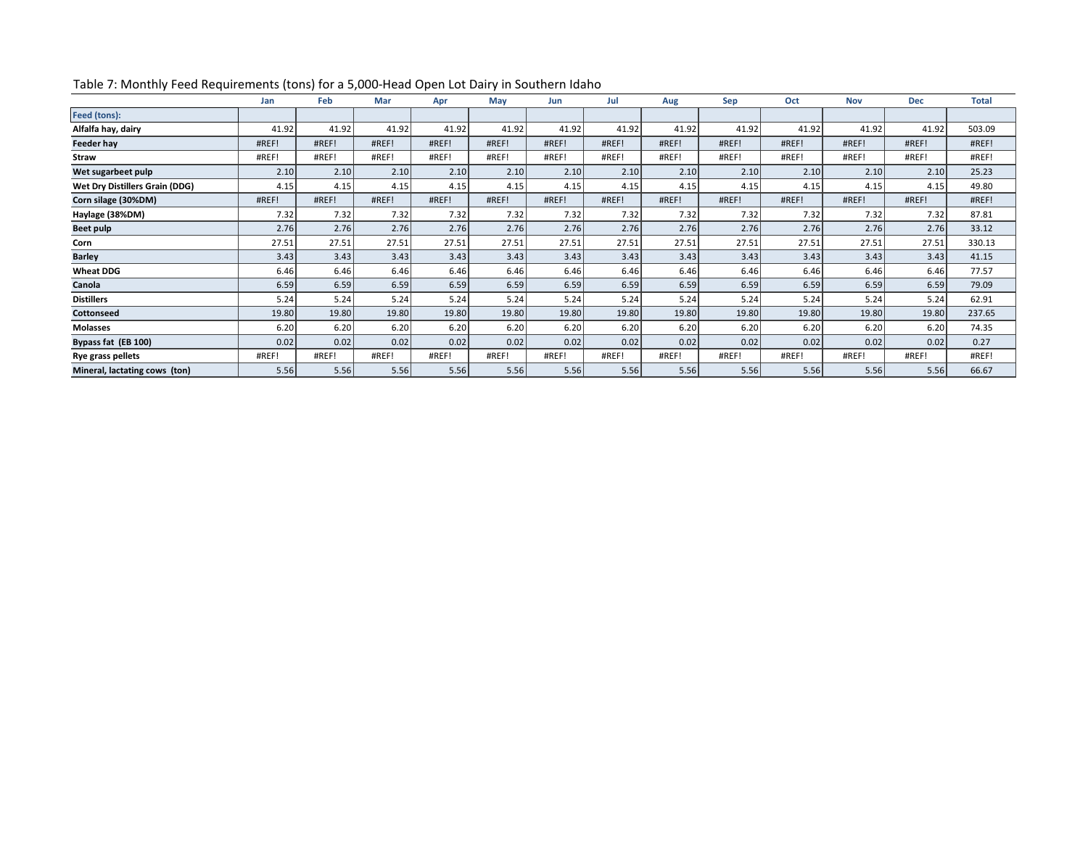|                                       | Jan   | Feb   | Mar   | Apr   | May   | Jun   | Jul   | Aug   | Sep   | Oct   | <b>Nov</b> | <b>Dec</b> | <b>Total</b> |
|---------------------------------------|-------|-------|-------|-------|-------|-------|-------|-------|-------|-------|------------|------------|--------------|
| Feed (tons):                          |       |       |       |       |       |       |       |       |       |       |            |            |              |
| Alfalfa hay, dairy                    | 41.92 | 41.92 | 41.92 | 41.92 | 41.92 | 41.92 | 41.92 | 41.92 | 41.92 | 41.92 | 41.92      | 41.92      | 503.09       |
| Feeder hay                            | #REF! | #REF! | #REF! | #REF! | #REF! | #REF! | #REF! | #REF! | #REF! | #REF! | #REF!      | #REF!      | #REF!        |
| Straw                                 | #REF! | #REF! | #REF! | #REF! | #REF! | #REF! | #REF! | #REF! | #REF! | #REF! | #REF!      | #REF!      | #REF!        |
| Wet sugarbeet pulp                    | 2.10  | 2.10  | 2.10  | 2.10  | 2.10  | 2.10  | 2.10  | 2.10  | 2.10  | 2.10  | 2.10       | 2.10       | 25.23        |
| <b>Wet Dry Distillers Grain (DDG)</b> | 4.15  | 4.15  | 4.15  | 4.15  | 4.15  | 4.15  | 4.15  | 4.15  | 4.15  | 4.15  | 4.15       | 4.15       | 49.80        |
| Corn silage (30%DM)                   | #REF! | #REF! | #REF! | #REF! | #REF! | #REF! | #REF! | #REF! | #REF! | #REF! | #REF!      | #REF!      | #REF!        |
| Haylage (38%DM)                       | 7.32  | 7.32  | 7.32  | 7.32  | 7.32  | 7.32  | 7.32  | 7.32  | 7.32  | 7.32  | 7.32       | 7.32       | 87.81        |
| Beet pulp                             | 2.76  | 2.76  | 2.76  | 2.76  | 2.76  | 2.76  | 2.76  | 2.76  | 2.76  | 2.76  | 2.76       | 2.76       | 33.12        |
| Corn                                  | 27.51 | 27.51 | 27.51 | 27.51 | 27.51 | 27.51 | 27.51 | 27.51 | 27.51 | 27.51 | 27.51      | 27.51      | 330.13       |
| <b>Barley</b>                         | 3.43  | 3.43  | 3.43  | 3.43  | 3.43  | 3.43  | 3.43  | 3.43  | 3.43  | 3.43  | 3.43       | 3.43       | 41.15        |
| <b>Wheat DDG</b>                      | 6.46  | 6.46  | 6.46  | 6.46  | 6.46  | 6.46  | 6.46  | 6.46  | 6.46  | 6.46  | 6.46       | 6.46       | 77.57        |
| Canola                                | 6.59  | 6.59  | 6.59  | 6.59  | 6.59  | 6.59  | 6.59  | 6.59  | 6.59  | 6.59  | 6.59       | 6.59       | 79.09        |
| <b>Distillers</b>                     | 5.24  | 5.24  | 5.24  | 5.24  | 5.24  | 5.24  | 5.24  | 5.24  | 5.24  | 5.24  | 5.24       | 5.24       | 62.91        |
| <b>Cottonseed</b>                     | 19.80 | 19.80 | 19.80 | 19.80 | 19.80 | 19.80 | 19.80 | 19.80 | 19.80 | 19.80 | 19.80      | 19.80      | 237.65       |
| <b>Molasses</b>                       | 6.20  | 6.20  | 6.20  | 6.20  | 6.20  | 6.20  | 6.20  | 6.20  | 6.20  | 6.20  | 6.20       | 6.20       | 74.35        |
| Bypass fat (EB 100)                   | 0.02  | 0.02  | 0.02  | 0.02  | 0.02  | 0.02  | 0.02  | 0.02  | 0.02  | 0.02  | 0.02       | 0.02       | 0.27         |
| Rye grass pellets                     | #REF! | #REF! | #REF! | #REF! | #REF! | #REF! | #REF! | #REF! | #REF! | #REF! | #REF!      | #REF!      | #REF!        |
| Mineral, lactating cows (ton)         | 5.56  | 5.56  | 5.56  | 5.56  | 5.56  | 5.56  | 5.56  | 5.56  | 5.56  | 5.56  | 5.56       | 5.56       | 66.67        |

# Table 7: Monthly Feed Requirements (tons) for a 5,000-Head Open Lot Dairy in Southern Idaho